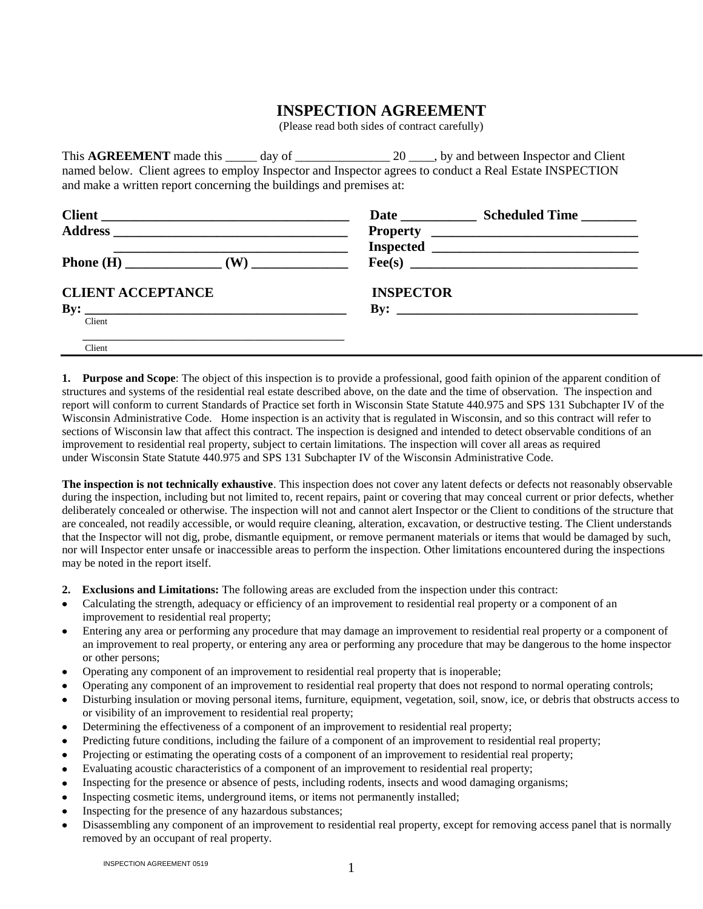## **INSPECTION AGREEMENT**

(Please read both sides of contract carefully)

This **AGREEMENT** made this \_\_\_\_\_ day of \_\_\_\_\_\_\_\_\_\_\_\_\_\_\_\_\_\_\_ 20 \_\_\_\_, by and between Inspector and Client named below. Client agrees to employ Inspector and Inspector agrees to conduct a Real Estate INSPECTION and make a written report concerning the buildings and premises at:

|                          | Date Scheduled Time                                                                                                                                                                                                                                                                                                    |
|--------------------------|------------------------------------------------------------------------------------------------------------------------------------------------------------------------------------------------------------------------------------------------------------------------------------------------------------------------|
|                          |                                                                                                                                                                                                                                                                                                                        |
|                          |                                                                                                                                                                                                                                                                                                                        |
|                          |                                                                                                                                                                                                                                                                                                                        |
| <b>CLIENT ACCEPTANCE</b> | <b>INSPECTOR</b>                                                                                                                                                                                                                                                                                                       |
|                          | By: $\frac{1}{2}$ $\frac{1}{2}$ $\frac{1}{2}$ $\frac{1}{2}$ $\frac{1}{2}$ $\frac{1}{2}$ $\frac{1}{2}$ $\frac{1}{2}$ $\frac{1}{2}$ $\frac{1}{2}$ $\frac{1}{2}$ $\frac{1}{2}$ $\frac{1}{2}$ $\frac{1}{2}$ $\frac{1}{2}$ $\frac{1}{2}$ $\frac{1}{2}$ $\frac{1}{2}$ $\frac{1}{2}$ $\frac{1}{2}$ $\frac{1}{2}$ $\frac{1}{2$ |
| Client                   |                                                                                                                                                                                                                                                                                                                        |
| Client                   |                                                                                                                                                                                                                                                                                                                        |

**1. Purpose and Scope**: The object of this inspection is to provide a professional, good faith opinion of the apparent condition of structures and systems of the residential real estate described above, on the date and the time of observation. The inspection and report will conform to current Standards of Practice set forth in Wisconsin State Statute 440.975 and SPS 131 Subchapter IV of the Wisconsin Administrative Code. Home inspection is an activity that is regulated in Wisconsin, and so this contract will refer to sections of Wisconsin law that affect this contract. The inspection is designed and intended to detect observable conditions of an improvement to residential real property, subject to certain limitations. The inspection will cover all areas as required under Wisconsin State Statute 440.975 and SPS 131 Subchapter IV of the Wisconsin Administrative Code.

**The inspection is not technically exhaustive**. This inspection does not cover any latent defects or defects not reasonably observable during the inspection, including but not limited to, recent repairs, paint or covering that may conceal current or prior defects, whether deliberately concealed or otherwise. The inspection will not and cannot alert Inspector or the Client to conditions of the structure that are concealed, not readily accessible, or would require cleaning, alteration, excavation, or destructive testing. The Client understands that the Inspector will not dig, probe, dismantle equipment, or remove permanent materials or items that would be damaged by such, nor will Inspector enter unsafe or inaccessible areas to perform the inspection. Other limitations encountered during the inspections may be noted in the report itself.

- **2. Exclusions and Limitations:** The following areas are excluded from the inspection under this contract:
- Calculating the strength, adequacy or efficiency of an improvement to residential real property or a component of an improvement to residential real property;
- Entering any area or performing any procedure that may damage an improvement to residential real property or a component of an improvement to real property, or entering any area or performing any procedure that may be dangerous to the home inspector or other persons;
- Operating any component of an improvement to residential real property that is inoperable;
- Operating any component of an improvement to residential real property that does not respond to normal operating controls;
- Disturbing insulation or moving personal items, furniture, equipment, vegetation, soil, snow, ice, or debris that obstructs access to or visibility of an improvement to residential real property;
- Determining the effectiveness of a component of an improvement to residential real property;
- Predicting future conditions, including the failure of a component of an improvement to residential real property;
- Projecting or estimating the operating costs of a component of an improvement to residential real property;
- Evaluating acoustic characteristics of a component of an improvement to residential real property;
- Inspecting for the presence or absence of pests, including rodents, insects and wood damaging organisms;
- Inspecting cosmetic items, underground items, or items not permanently installed;
- Inspecting for the presence of any hazardous substances;
- Disassembling any component of an improvement to residential real property, except for removing access panel that is normally removed by an occupant of real property.